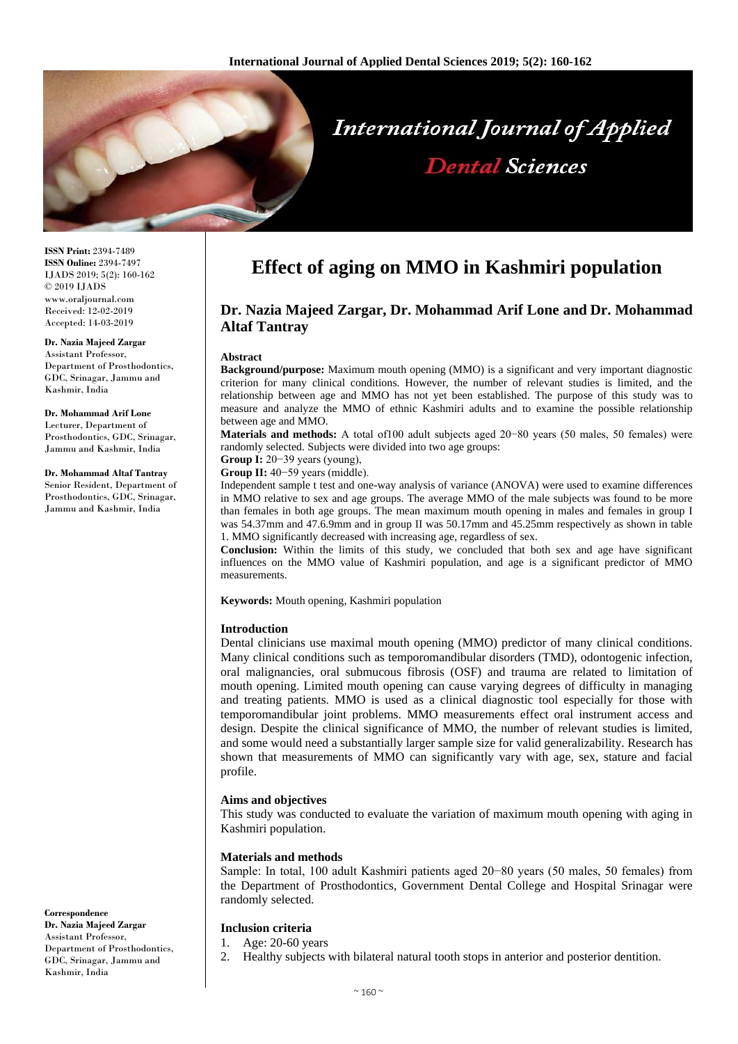

**ISSN Print:** 2394-7489 **ISSN Online:** 2394-7497 IJADS 2019; 5(2): 160-162 © 2019 IJADS www.oraljournal.com Received: 12-02-2019 Accepted: 14-03-2019

# **Dr. Nazia Majeed Zargar**

Assistant Professor, Department of Prosthodontics, GDC, Srinagar, Jammu and Kashmir, India

# **Dr. Mohammad Arif Lone**

Lecturer, Department of Prosthodontics, GDC, Srinagar, Jammu and Kashmir, India

#### **Dr. Mohammad Altaf Tantray** Senior Resident, Department of Prosthodontics, GDC, Srinagar, Jammu and Kashmir, India

**Effect of aging on MMO in Kashmiri population**

# **Dr. Nazia Majeed Zargar, Dr. Mohammad Arif Lone and Dr. Mohammad Altaf Tantray**

#### **Abstract**

**Background/purpose:** Maximum mouth opening (MMO) is a significant and very important diagnostic criterion for many clinical conditions. However, the number of relevant studies is limited, and the relationship between age and MMO has not yet been established. The purpose of this study was to measure and analyze the MMO of ethnic Kashmiri adults and to examine the possible relationship between age and MMO.

**Materials and methods:** A total of100 adult subjects aged 20−80 years (50 males, 50 females) were randomly selected. Subjects were divided into two age groups:

**Group I:** 20−39 years (young),

**Group II:** 40−59 years (middle).

Independent sample t test and one-way analysis of variance (ANOVA) were used to examine differences in MMO relative to sex and age groups. The average MMO of the male subjects was found to be more than females in both age groups. The mean maximum mouth opening in males and females in group I was 54.37mm and 47.6.9mm and in group II was 50.17mm and 45.25mm respectively as shown in table 1. MMO significantly decreased with increasing age, regardless of sex.

**Conclusion:** Within the limits of this study, we concluded that both sex and age have significant influences on the MMO value of Kashmiri population, and age is a significant predictor of MMO measurements.

**Keywords:** Mouth opening, Kashmiri population

### **Introduction**

Dental clinicians use maximal mouth opening (MMO) predictor of many clinical conditions. Many clinical conditions such as temporomandibular disorders (TMD), odontogenic infection, oral malignancies, oral submucous fibrosis (OSF) and trauma are related to limitation of mouth opening. Limited mouth opening can cause varying degrees of difficulty in managing and treating patients. MMO is used as a clinical diagnostic tool especially for those with temporomandibular joint problems. MMO measurements effect oral instrument access and design. Despite the clinical significance of MMO, the number of relevant studies is limited, and some would need a substantially larger sample size for valid generalizability. Research has shown that measurements of MMO can significantly vary with age, sex, stature and facial profile.

#### **Aims and objectives**

This study was conducted to evaluate the variation of maximum mouth opening with aging in Kashmiri population.

#### **Materials and methods**

Sample: In total, 100 adult Kashmiri patients aged 20−80 years (50 males, 50 females) from the Department of Prosthodontics, Government Dental College and Hospital Srinagar were randomly selected.

# **Inclusion criteria**

1. Age: 20-60 years

2. Healthy subjects with bilateral natural tooth stops in anterior and posterior dentition.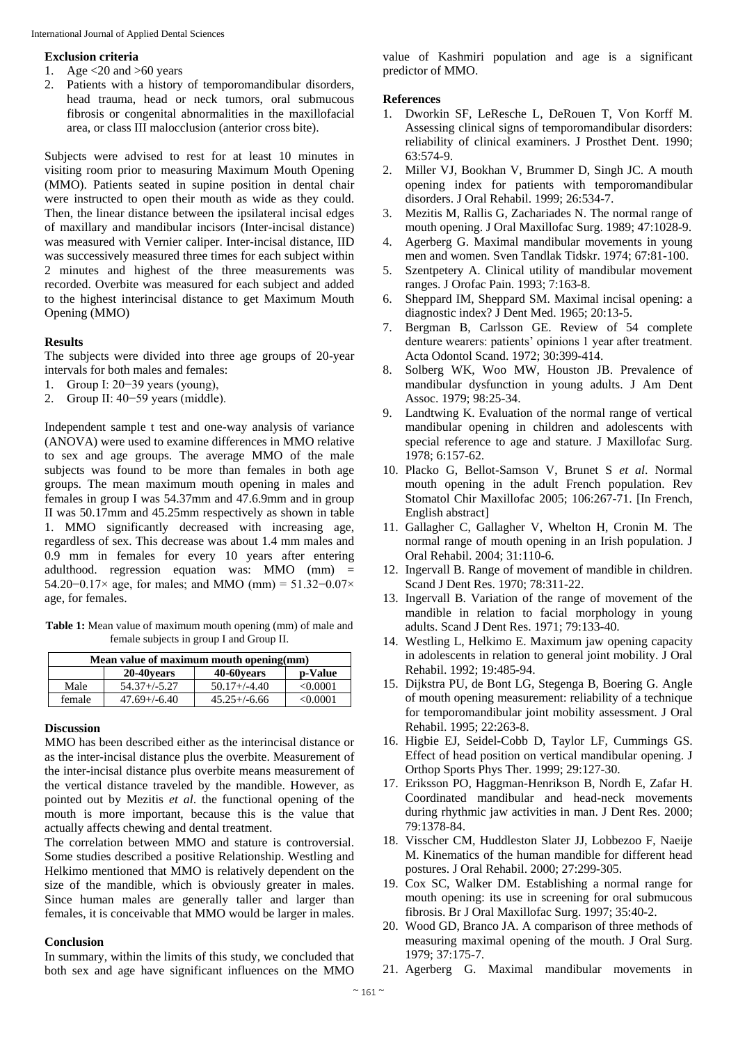#### **Exclusion criteria**

- 1. Age  $<20$  and  $>60$  years
- 2. Patients with a history of temporomandibular disorders, head trauma, head or neck tumors, oral submucous fibrosis or congenital abnormalities in the maxillofacial area, or class III malocclusion (anterior cross bite).

Subjects were advised to rest for at least 10 minutes in visiting room prior to measuring Maximum Mouth Opening (MMO). Patients seated in supine position in dental chair were instructed to open their mouth as wide as they could. Then, the linear distance between the ipsilateral incisal edges of maxillary and mandibular incisors (Inter-incisal distance) was measured with Vernier caliper. Inter-incisal distance, IID was successively measured three times for each subject within 2 minutes and highest of the three measurements was recorded. Overbite was measured for each subject and added to the highest interincisal distance to get Maximum Mouth Opening (MMO)

## **Results**

The subjects were divided into three age groups of 20-year intervals for both males and females:

- 1. Group I: 20−39 years (young),
- 2. Group II: 40−59 years (middle).

Independent sample t test and one-way analysis of variance (ANOVA) were used to examine differences in MMO relative to sex and age groups. The average MMO of the male subjects was found to be more than females in both age groups. The mean maximum mouth opening in males and females in group I was 54.37mm and 47.6.9mm and in group II was 50.17mm and 45.25mm respectively as shown in table 1. MMO significantly decreased with increasing age, regardless of sex. This decrease was about 1.4 mm males and 0.9 mm in females for every 10 years after entering adulthood. regression equation was: MMO  $(mm)$  = 54.20−0.17× age, for males; and MMO (mm) = 51.32−0.07× age, for females.

**Table 1:** Mean value of maximum mouth opening (mm) of male and female subjects in group I and Group II.

| Mean value of maximum mouth opening (mm) |                   |                   |          |
|------------------------------------------|-------------------|-------------------|----------|
|                                          | 20-40 years       | 40-60 years       | p-Value  |
| Male                                     | $54.37 + (-5.27)$ | $50.17 + (-4.40)$ | < 0.0001 |
| female                                   | $47.69 + (-6.40)$ | $45.25 + (-6.66)$ | <0.0001  |

### **Discussion**

MMO has been described either as the interincisal distance or as the inter-incisal distance plus the overbite. Measurement of the inter-incisal distance plus overbite means measurement of the vertical distance traveled by the mandible. However, as pointed out by Mezitis *et al*. the functional opening of the mouth is more important, because this is the value that actually affects chewing and dental treatment.

The correlation between MMO and stature is controversial. Some studies described a positive Relationship. Westling and Helkimo mentioned that MMO is relatively dependent on the size of the mandible, which is obviously greater in males. Since human males are generally taller and larger than females, it is conceivable that MMO would be larger in males.

#### **Conclusion**

In summary, within the limits of this study, we concluded that both sex and age have significant influences on the MMO

value of Kashmiri population and age is a significant predictor of MMO.

#### **References**

- 1. Dworkin SF, LeResche L, DeRouen T, Von Korff M. Assessing clinical signs of temporomandibular disorders: reliability of clinical examiners. J Prosthet Dent. 1990; 63:574-9.
- 2. Miller VJ, Bookhan V, Brummer D, Singh JC. A mouth opening index for patients with temporomandibular disorders. J Oral Rehabil. 1999; 26:534-7.
- 3. Mezitis M, Rallis G, Zachariades N. The normal range of mouth opening. J Oral Maxillofac Surg. 1989; 47:1028-9.
- 4. Agerberg G. Maximal mandibular movements in young men and women. Sven Tandlak Tidskr. 1974; 67:81-100.
- 5. Szentpetery A. Clinical utility of mandibular movement ranges. J Orofac Pain. 1993; 7:163-8.
- 6. Sheppard IM, Sheppard SM. Maximal incisal opening: a diagnostic index? J Dent Med. 1965; 20:13-5.
- 7. Bergman B, Carlsson GE. Review of 54 complete denture wearers: patients' opinions 1 year after treatment. Acta Odontol Scand. 1972; 30:399-414.
- 8. Solberg WK, Woo MW, Houston JB. Prevalence of mandibular dysfunction in young adults. J Am Dent Assoc. 1979; 98:25-34.
- 9. Landtwing K. Evaluation of the normal range of vertical mandibular opening in children and adolescents with special reference to age and stature. J Maxillofac Surg. 1978; 6:157-62.
- 10. Placko G, Bellot-Samson V, Brunet S *et al*. Normal mouth opening in the adult French population. Rev Stomatol Chir Maxillofac 2005; 106:267-71. [In French, English abstract]
- 11. Gallagher C, Gallagher V, Whelton H, Cronin M. The normal range of mouth opening in an Irish population. J Oral Rehabil. 2004; 31:110-6.
- 12. Ingervall B. Range of movement of mandible in children. Scand J Dent Res. 1970; 78:311-22.
- 13. Ingervall B. Variation of the range of movement of the mandible in relation to facial morphology in young adults. Scand J Dent Res. 1971; 79:133-40.
- 14. Westling L, Helkimo E. Maximum jaw opening capacity in adolescents in relation to general joint mobility. J Oral Rehabil. 1992; 19:485-94.
- 15. Dijkstra PU, de Bont LG, Stegenga B, Boering G. Angle of mouth opening measurement: reliability of a technique for temporomandibular joint mobility assessment. J Oral Rehabil. 1995; 22:263-8.
- 16. Higbie EJ, Seidel-Cobb D, Taylor LF, Cummings GS. Effect of head position on vertical mandibular opening. J Orthop Sports Phys Ther. 1999; 29:127-30.
- 17. Eriksson PO, Haggman-Henrikson B, Nordh E, Zafar H. Coordinated mandibular and head-neck movements during rhythmic jaw activities in man. J Dent Res. 2000; 79:1378-84.
- 18. Visscher CM, Huddleston Slater JJ, Lobbezoo F, Naeije M. Kinematics of the human mandible for different head postures. J Oral Rehabil. 2000; 27:299-305.
- 19. Cox SC, Walker DM. Establishing a normal range for mouth opening: its use in screening for oral submucous fibrosis. Br J Oral Maxillofac Surg. 1997; 35:40-2.
- 20. Wood GD, Branco JA. A comparison of three methods of measuring maximal opening of the mouth. J Oral Surg. 1979; 37:175-7.
- 21. Agerberg G. Maximal mandibular movements in